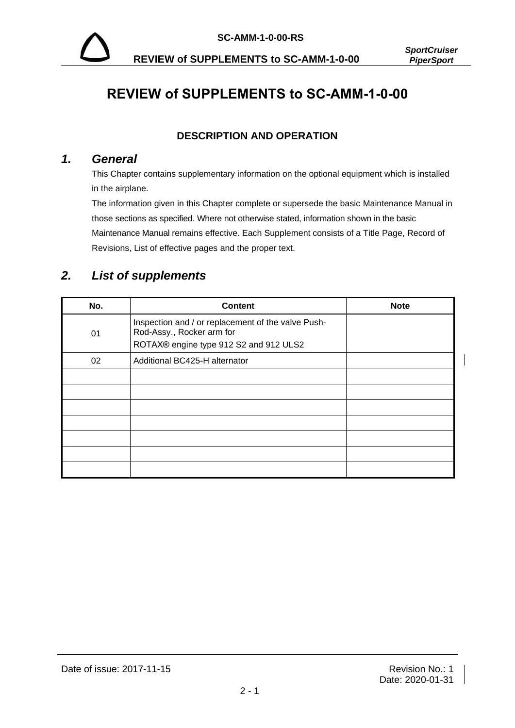

**REVIEW of SUPPLEMENTS to SC-AMM-1-0-00** *PiperSport*

 $\overline{\phantom{a}}$ 

# **REVIEW of SUPPLEMENTS to SC-AMM-1-0-00**

#### **DESCRIPTION AND OPERATION**

#### *1. General*

This Chapter contains supplementary information on the optional equipment which is installed in the airplane.

The information given in this Chapter complete or supersede the basic Maintenance Manual in those sections as specified. Where not otherwise stated, information shown in the basic Maintenance Manual remains effective. Each Supplement consists of a Title Page, Record of Revisions, List of effective pages and the proper text.

### *2. List of supplements*

| No. | <b>Content</b>                                                                                                            | <b>Note</b> |
|-----|---------------------------------------------------------------------------------------------------------------------------|-------------|
| 01  | Inspection and / or replacement of the valve Push-<br>Rod-Assy., Rocker arm for<br>ROTAX® engine type 912 S2 and 912 ULS2 |             |
| 02  | Additional BC425-H alternator                                                                                             |             |
|     |                                                                                                                           |             |
|     |                                                                                                                           |             |
|     |                                                                                                                           |             |
|     |                                                                                                                           |             |
|     |                                                                                                                           |             |
|     |                                                                                                                           |             |
|     |                                                                                                                           |             |